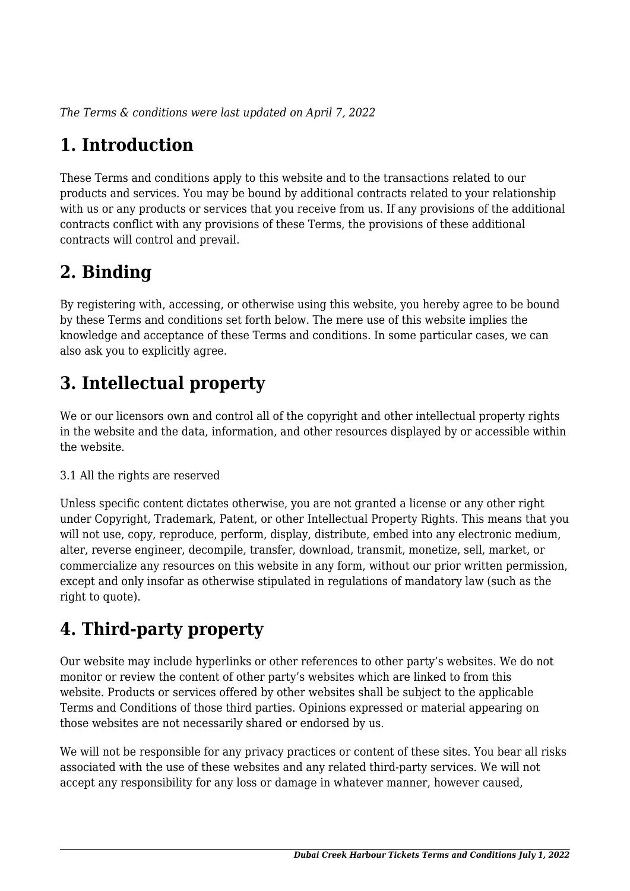*The Terms & conditions were last updated on April 7, 2022*

# **1. Introduction**

These Terms and conditions apply to this website and to the transactions related to our products and services. You may be bound by additional contracts related to your relationship with us or any products or services that you receive from us. If any provisions of the additional contracts conflict with any provisions of these Terms, the provisions of these additional contracts will control and prevail.

## **2. Binding**

By registering with, accessing, or otherwise using this website, you hereby agree to be bound by these Terms and conditions set forth below. The mere use of this website implies the knowledge and acceptance of these Terms and conditions. In some particular cases, we can also ask you to explicitly agree.

# **3. Intellectual property**

We or our licensors own and control all of the copyright and other intellectual property rights in the website and the data, information, and other resources displayed by or accessible within the website.

#### 3.1 All the rights are reserved

Unless specific content dictates otherwise, you are not granted a license or any other right under Copyright, Trademark, Patent, or other Intellectual Property Rights. This means that you will not use, copy, reproduce, perform, display, distribute, embed into any electronic medium, alter, reverse engineer, decompile, transfer, download, transmit, monetize, sell, market, or commercialize any resources on this website in any form, without our prior written permission, except and only insofar as otherwise stipulated in regulations of mandatory law (such as the right to quote).

# **4. Third-party property**

Our website may include hyperlinks or other references to other party's websites. We do not monitor or review the content of other party's websites which are linked to from this website. Products or services offered by other websites shall be subject to the applicable Terms and Conditions of those third parties. Opinions expressed or material appearing on those websites are not necessarily shared or endorsed by us.

We will not be responsible for any privacy practices or content of these sites. You bear all risks associated with the use of these websites and any related third-party services. We will not accept any responsibility for any loss or damage in whatever manner, however caused,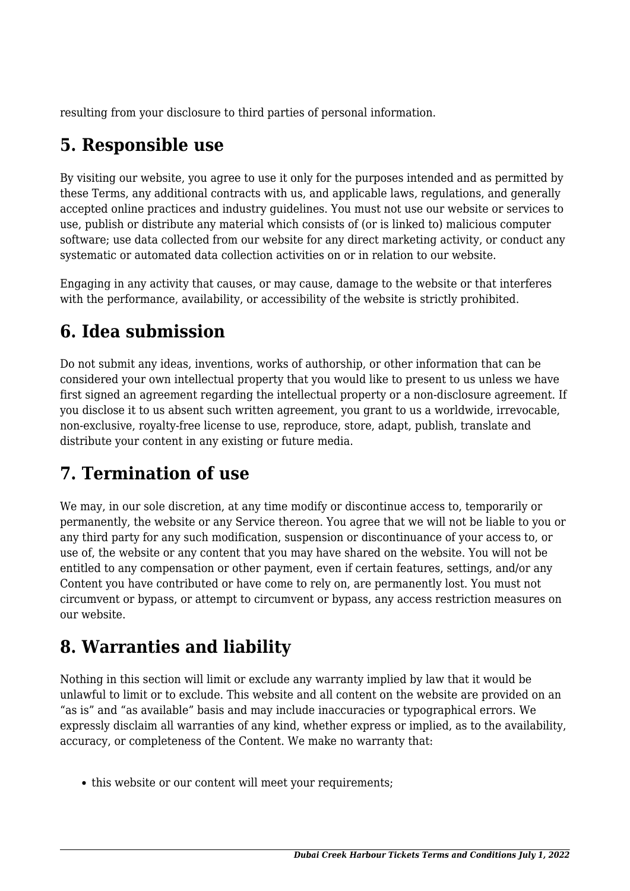resulting from your disclosure to third parties of personal information.

### **5. Responsible use**

By visiting our website, you agree to use it only for the purposes intended and as permitted by these Terms, any additional contracts with us, and applicable laws, regulations, and generally accepted online practices and industry guidelines. You must not use our website or services to use, publish or distribute any material which consists of (or is linked to) malicious computer software; use data collected from our website for any direct marketing activity, or conduct any systematic or automated data collection activities on or in relation to our website.

Engaging in any activity that causes, or may cause, damage to the website or that interferes with the performance, availability, or accessibility of the website is strictly prohibited.

## **6. Idea submission**

Do not submit any ideas, inventions, works of authorship, or other information that can be considered your own intellectual property that you would like to present to us unless we have first signed an agreement regarding the intellectual property or a non-disclosure agreement. If you disclose it to us absent such written agreement, you grant to us a worldwide, irrevocable, non-exclusive, royalty-free license to use, reproduce, store, adapt, publish, translate and distribute your content in any existing or future media.

### **7. Termination of use**

We may, in our sole discretion, at any time modify or discontinue access to, temporarily or permanently, the website or any Service thereon. You agree that we will not be liable to you or any third party for any such modification, suspension or discontinuance of your access to, or use of, the website or any content that you may have shared on the website. You will not be entitled to any compensation or other payment, even if certain features, settings, and/or any Content you have contributed or have come to rely on, are permanently lost. You must not circumvent or bypass, or attempt to circumvent or bypass, any access restriction measures on our website.

### **8. Warranties and liability**

Nothing in this section will limit or exclude any warranty implied by law that it would be unlawful to limit or to exclude. This website and all content on the website are provided on an "as is" and "as available" basis and may include inaccuracies or typographical errors. We expressly disclaim all warranties of any kind, whether express or implied, as to the availability, accuracy, or completeness of the Content. We make no warranty that:

• this website or our content will meet your requirements;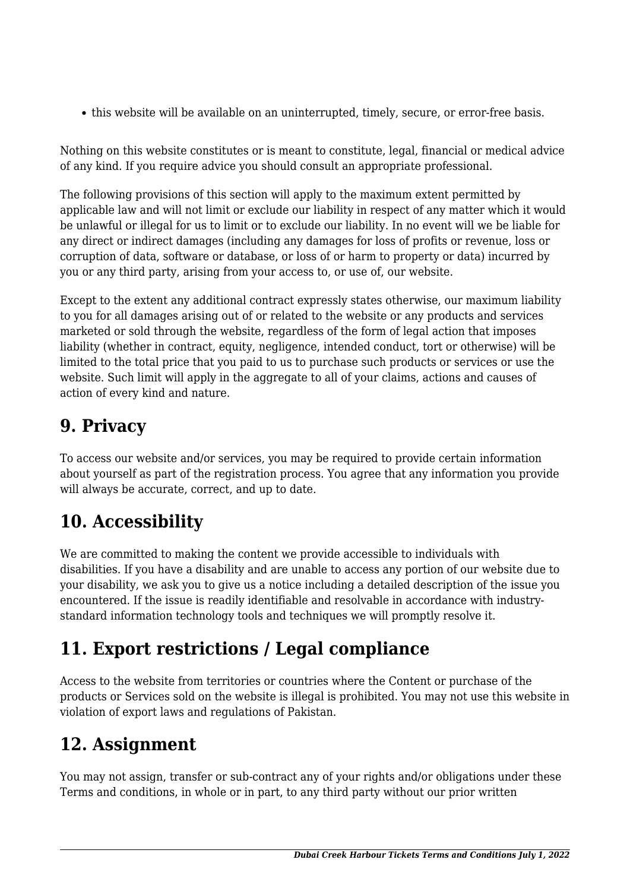this website will be available on an uninterrupted, timely, secure, or error-free basis.

Nothing on this website constitutes or is meant to constitute, legal, financial or medical advice of any kind. If you require advice you should consult an appropriate professional.

The following provisions of this section will apply to the maximum extent permitted by applicable law and will not limit or exclude our liability in respect of any matter which it would be unlawful or illegal for us to limit or to exclude our liability. In no event will we be liable for any direct or indirect damages (including any damages for loss of profits or revenue, loss or corruption of data, software or database, or loss of or harm to property or data) incurred by you or any third party, arising from your access to, or use of, our website.

Except to the extent any additional contract expressly states otherwise, our maximum liability to you for all damages arising out of or related to the website or any products and services marketed or sold through the website, regardless of the form of legal action that imposes liability (whether in contract, equity, negligence, intended conduct, tort or otherwise) will be limited to the total price that you paid to us to purchase such products or services or use the website. Such limit will apply in the aggregate to all of your claims, actions and causes of action of every kind and nature.

## **9. Privacy**

To access our website and/or services, you may be required to provide certain information about yourself as part of the registration process. You agree that any information you provide will always be accurate, correct, and up to date.

# **10. Accessibility**

We are committed to making the content we provide accessible to individuals with disabilities. If you have a disability and are unable to access any portion of our website due to your disability, we ask you to give us a notice including a detailed description of the issue you encountered. If the issue is readily identifiable and resolvable in accordance with industrystandard information technology tools and techniques we will promptly resolve it.

# **11. Export restrictions / Legal compliance**

Access to the website from territories or countries where the Content or purchase of the products or Services sold on the website is illegal is prohibited. You may not use this website in violation of export laws and regulations of Pakistan.

#### **12. Assignment**

You may not assign, transfer or sub-contract any of your rights and/or obligations under these Terms and conditions, in whole or in part, to any third party without our prior written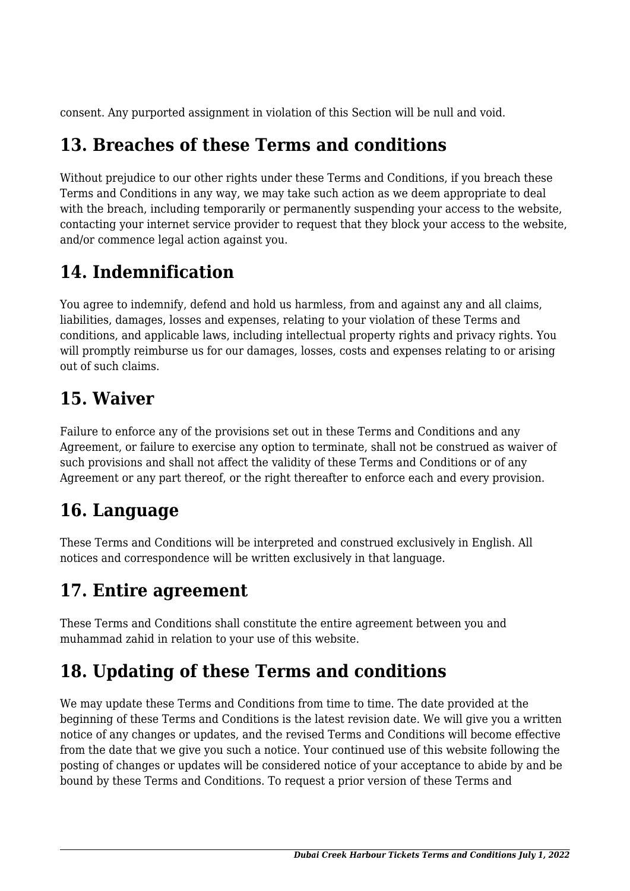consent. Any purported assignment in violation of this Section will be null and void.

### **13. Breaches of these Terms and conditions**

Without prejudice to our other rights under these Terms and Conditions, if you breach these Terms and Conditions in any way, we may take such action as we deem appropriate to deal with the breach, including temporarily or permanently suspending your access to the website, contacting your internet service provider to request that they block your access to the website, and/or commence legal action against you.

### **14. Indemnification**

You agree to indemnify, defend and hold us harmless, from and against any and all claims, liabilities, damages, losses and expenses, relating to your violation of these Terms and conditions, and applicable laws, including intellectual property rights and privacy rights. You will promptly reimburse us for our damages, losses, costs and expenses relating to or arising out of such claims.

### **15. Waiver**

Failure to enforce any of the provisions set out in these Terms and Conditions and any Agreement, or failure to exercise any option to terminate, shall not be construed as waiver of such provisions and shall not affect the validity of these Terms and Conditions or of any Agreement or any part thereof, or the right thereafter to enforce each and every provision.

### **16. Language**

These Terms and Conditions will be interpreted and construed exclusively in English. All notices and correspondence will be written exclusively in that language.

# **17. Entire agreement**

These Terms and Conditions shall constitute the entire agreement between you and muhammad zahid in relation to your use of this website.

### **18. Updating of these Terms and conditions**

We may update these Terms and Conditions from time to time. The date provided at the beginning of these Terms and Conditions is the latest revision date. We will give you a written notice of any changes or updates, and the revised Terms and Conditions will become effective from the date that we give you such a notice. Your continued use of this website following the posting of changes or updates will be considered notice of your acceptance to abide by and be bound by these Terms and Conditions. To request a prior version of these Terms and